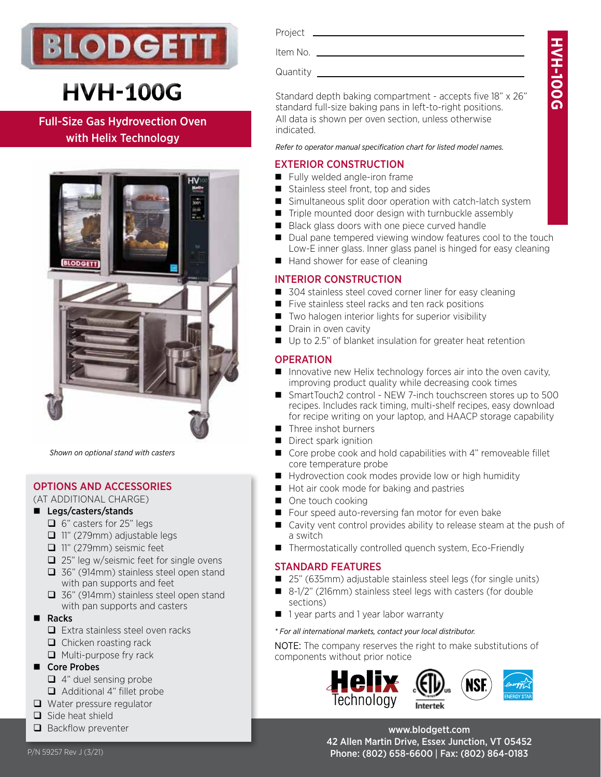

# **HVH-100G**

Full-Size Gas Hydrovection Oven with Helix Technology



*Shown on optional stand with casters*

# OPTIONS AND ACCESSORIES

(AT ADDITIONAL CHARGE)

# ■ Legs/casters/stands

- $\Box$  6" casters for 25" legs
- 11" (279mm) adjustable legs
- 11" (279mm) seismic feet
- $\Box$  25" leg w/seismic feet for single ovens
- □ 36" (914mm) stainless steel open stand with pan supports and feet
- 36" (914mm) stainless steel open stand with pan supports and casters
- **Racks** 
	- $\Box$  Extra stainless steel oven racks
	- $\Box$  Chicken roasting rack
	- $\Box$  Multi-purpose fry rack
- Core Probes
	- $\Box$  4" duel sensing probe
	- Additional 4" fillet probe
- Water pressure regulator
- $\Box$  Side heat shield
- Backflow preventer

Item No. Quantity

Standard depth baking compartment - accepts five 18" x 26" standard full-size baking pans in left-to-right positions. All data is shown per oven section, unless otherwise indicated.

**HVH-100G**

**NH-100G** 

*Refer to operator manual specification chart for listed model names.*

# EXTERIOR CONSTRUCTION

- Fully welded angle-iron frame
- Stainless steel front, top and sides
- Simultaneous split door operation with catch-latch system
- $\blacksquare$  Triple mounted door design with turnbuckle assembly
- Black glass doors with one piece curved handle
- Dual pane tempered viewing window features cool to the touch Low-E inner glass. Inner glass panel is hinged for easy cleaning
- $\blacksquare$  Hand shower for ease of cleaning

# INTERIOR CONSTRUCTION

- 304 stainless steel coved corner liner for easy cleaning
- Five stainless steel racks and ten rack positions
- Two halogen interior lights for superior visibility
- Drain in oven cavity
- Up to 2.5" of blanket insulation for greater heat retention

# **OPERATION**

- Innovative new Helix technology forces air into the oven cavity, improving product quality while decreasing cook times
- SmartTouch2 control NEW 7-inch touchscreen stores up to 500 recipes. Includes rack timing, multi-shelf recipes, easy download for recipe writing on your laptop, and HAACP storage capability
- $\blacksquare$  Three inshot burners
- Direct spark ignition
- Core probe cook and hold capabilities with 4" removeable fillet core temperature probe
- Hydrovection cook modes provide low or high humidity
- Hot air cook mode for baking and pastries
- One touch cooking
- Four speed auto-reversing fan motor for even bake
- Cavity vent control provides ability to release steam at the push of a switch
- Thermostatically controlled quench system, Eco-Friendly

# STANDARD FEATURES

- 25" (635mm) adjustable stainless steel legs (for single units)
- 8-1/2" (216mm) stainless steel legs with casters (for double sections)
- 1 year parts and 1 year labor warranty

*\* For all international markets, contact your local distributor.*

NOTE: The company reserves the right to make substitutions of components without prior notice



www.blodgett.com 42 Allen Martin Drive, Essex Junction, VT 05452 P/N 59257 Rev J (3/21) 2010 12:00 Phone: (802) 658-6600 | Fax: (802) 864-0183

Project \_